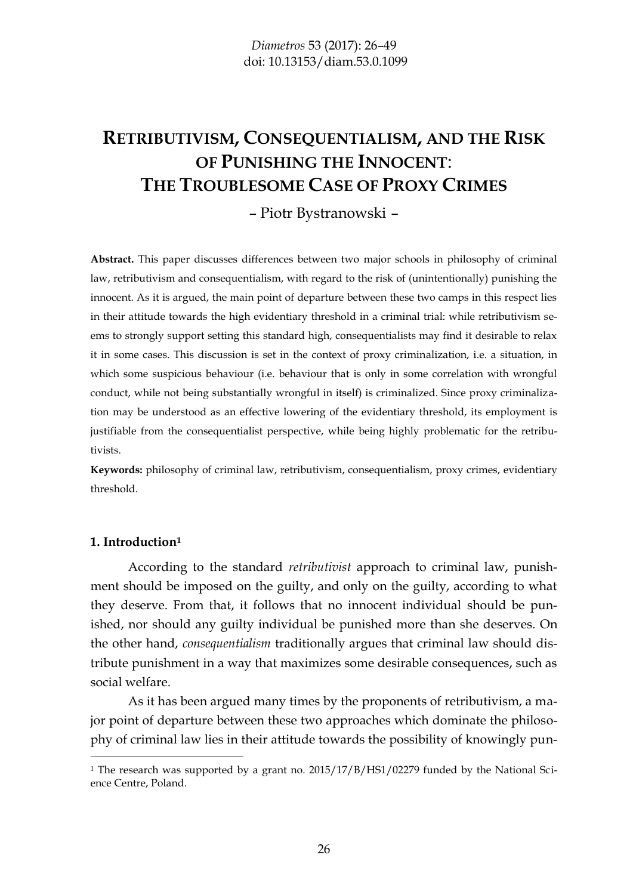# **RETRIBUTIVISM, CONSEQUENTIALISM, AND THE RISK OF PUNISHING THE INNOCENT**: **THE TROUBLESOME CASE OF PROXY CRIMES**

# – Piotr Bystranowski –

**Abstract.** This paper discusses differences between two major schools in philosophy of criminal law, retributivism and consequentialism, with regard to the risk of (unintentionally) punishing the innocent. As it is argued, the main point of departure between these two camps in this respect lies in their attitude towards the high evidentiary threshold in a criminal trial: while retributivism seems to strongly support setting this standard high, consequentialists may find it desirable to relax it in some cases. This discussion is set in the context of proxy criminalization, i.e. a situation, in which some suspicious behaviour (i.e. behaviour that is only in some correlation with wrongful conduct, while not being substantially wrongful in itself) is criminalized. Since proxy criminalization may be understood as an effective lowering of the evidentiary threshold, its employment is justifiable from the consequentialist perspective, while being highly problematic for the retributivists.

**Keywords:** philosophy of criminal law, retributivism, consequentialism, proxy crimes, evidentiary threshold.

#### **1. Introduction<sup>1</sup>**

-

According to the standard *retributivist* approach to criminal law, punishment should be imposed on the guilty, and only on the guilty, according to what they deserve. From that, it follows that no innocent individual should be punished, nor should any guilty individual be punished more than she deserves. On the other hand, *consequentialism* traditionally argues that criminal law should distribute punishment in a way that maximizes some desirable consequences, such as social welfare.

As it has been argued many times by the proponents of retributivism, a major point of departure between these two approaches which dominate the philosophy of criminal law lies in their attitude towards the possibility of knowingly pun-

<sup>&</sup>lt;sup>1</sup> The research was supported by a grant no. 2015/17/B/HS1/02279 funded by the National Science Centre, Poland.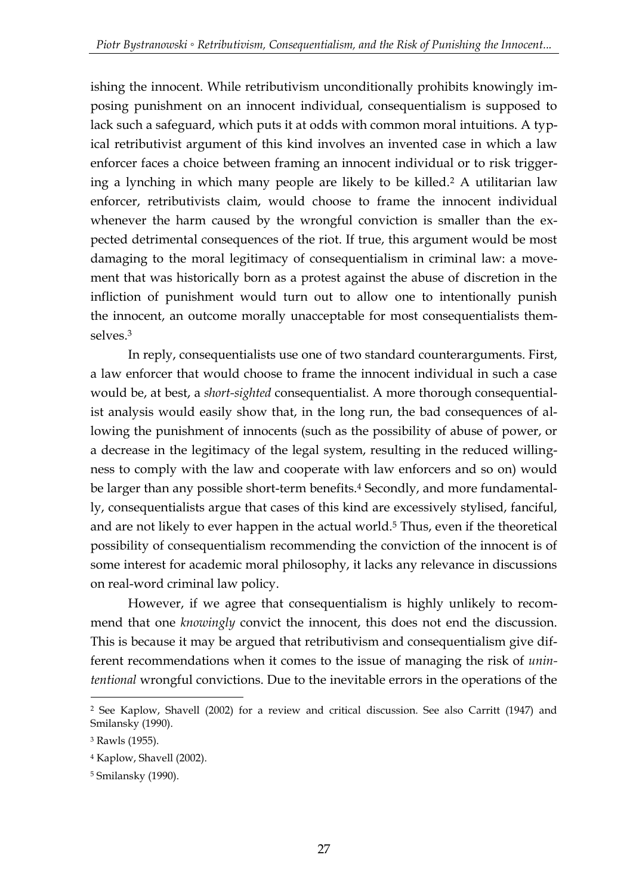ishing the innocent. While retributivism unconditionally prohibits knowingly imposing punishment on an innocent individual, consequentialism is supposed to lack such a safeguard, which puts it at odds with common moral intuitions. A typical retributivist argument of this kind involves an invented case in which a law enforcer faces a choice between framing an innocent individual or to risk triggering a lynching in which many people are likely to be killed.<sup>2</sup> A utilitarian law enforcer, retributivists claim, would choose to frame the innocent individual whenever the harm caused by the wrongful conviction is smaller than the expected detrimental consequences of the riot. If true, this argument would be most damaging to the moral legitimacy of consequentialism in criminal law: a movement that was historically born as a protest against the abuse of discretion in the infliction of punishment would turn out to allow one to intentionally punish the innocent, an outcome morally unacceptable for most consequentialists themselves.<sup>3</sup>

In reply, consequentialists use one of two standard counterarguments. First, a law enforcer that would choose to frame the innocent individual in such a case would be, at best, a *short-sighted* consequentialist. A more thorough consequentialist analysis would easily show that, in the long run, the bad consequences of allowing the punishment of innocents (such as the possibility of abuse of power, or a decrease in the legitimacy of the legal system, resulting in the reduced willingness to comply with the law and cooperate with law enforcers and so on) would be larger than any possible short-term benefits.<sup>4</sup> Secondly, and more fundamentally, consequentialists argue that cases of this kind are excessively stylised, fanciful, and are not likely to ever happen in the actual world.<sup>5</sup> Thus, even if the theoretical possibility of consequentialism recommending the conviction of the innocent is of some interest for academic moral philosophy, it lacks any relevance in discussions on real-word criminal law policy.

However, if we agree that consequentialism is highly unlikely to recommend that one *knowingly* convict the innocent, this does not end the discussion. This is because it may be argued that retributivism and consequentialism give different recommendations when it comes to the issue of managing the risk of *unintentional* wrongful convictions. Due to the inevitable errors in the operations of the

<sup>2</sup> See Kaplow, Shavell (2002) for a review and critical discussion. See also Carritt (1947) and Smilansky (1990).

<sup>3</sup> Rawls (1955).

<sup>4</sup> Kaplow, Shavell (2002).

<sup>5</sup> Smilansky (1990).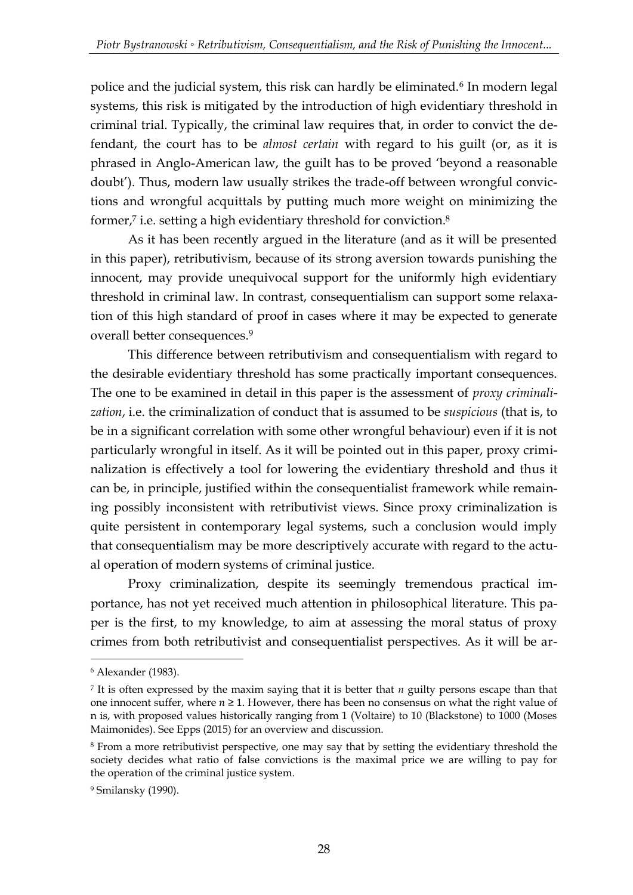police and the judicial system, this risk can hardly be eliminated.<sup>6</sup> In modern legal systems, this risk is mitigated by the introduction of high evidentiary threshold in criminal trial. Typically, the criminal law requires that, in order to convict the defendant, the court has to be *almost certain* with regard to his guilt (or, as it is phrased in Anglo-American law, the guilt has to be proved 'beyond a reasonable doubt'). Thus, modern law usually strikes the trade-off between wrongful convictions and wrongful acquittals by putting much more weight on minimizing the former,<sup>7</sup> i.e. setting a high evidentiary threshold for conviction.<sup>8</sup>

As it has been recently argued in the literature (and as it will be presented in this paper), retributivism, because of its strong aversion towards punishing the innocent, may provide unequivocal support for the uniformly high evidentiary threshold in criminal law. In contrast, consequentialism can support some relaxation of this high standard of proof in cases where it may be expected to generate overall better consequences.<sup>9</sup>

This difference between retributivism and consequentialism with regard to the desirable evidentiary threshold has some practically important consequences. The one to be examined in detail in this paper is the assessment of *proxy criminalization*, i.e. the criminalization of conduct that is assumed to be *suspicious* (that is, to be in a significant correlation with some other wrongful behaviour) even if it is not particularly wrongful in itself. As it will be pointed out in this paper, proxy criminalization is effectively a tool for lowering the evidentiary threshold and thus it can be, in principle, justified within the consequentialist framework while remaining possibly inconsistent with retributivist views. Since proxy criminalization is quite persistent in contemporary legal systems, such a conclusion would imply that consequentialism may be more descriptively accurate with regard to the actual operation of modern systems of criminal justice.

Proxy criminalization, despite its seemingly tremendous practical importance, has not yet received much attention in philosophical literature. This paper is the first, to my knowledge, to aim at assessing the moral status of proxy crimes from both retributivist and consequentialist perspectives. As it will be ar-

<sup>6</sup> Alexander (1983).

<sup>7</sup> It is often expressed by the maxim saying that it is better that *n* guilty persons escape than that one innocent suffer, where  $n \geq 1$ . However, there has been no consensus on what the right value of n is, with proposed values historically ranging from 1 (Voltaire) to 10 (Blackstone) to 1000 (Moses Maimonides). See Epps (2015) for an overview and discussion.

<sup>8</sup> From a more retributivist perspective, one may say that by setting the evidentiary threshold the society decides what ratio of false convictions is the maximal price we are willing to pay for the operation of the criminal justice system.

<sup>9</sup> Smilansky (1990).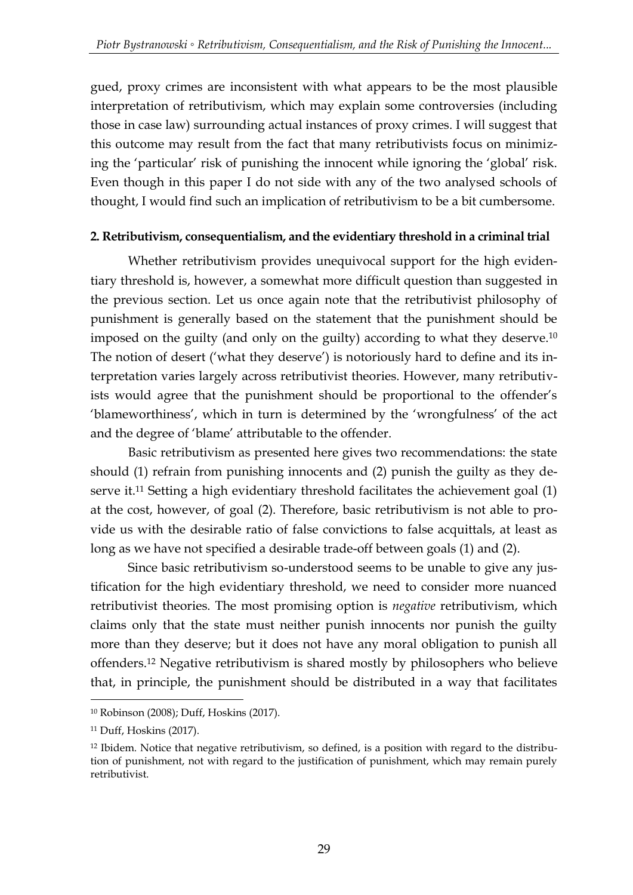gued, proxy crimes are inconsistent with what appears to be the most plausible interpretation of retributivism, which may explain some controversies (including those in case law) surrounding actual instances of proxy crimes. I will suggest that this outcome may result from the fact that many retributivists focus on minimizing the 'particular' risk of punishing the innocent while ignoring the 'global' risk. Even though in this paper I do not side with any of the two analysed schools of thought, I would find such an implication of retributivism to be a bit cumbersome.

# **2. Retributivism, consequentialism, and the evidentiary threshold in a criminal trial**

Whether retributivism provides unequivocal support for the high evidentiary threshold is, however, a somewhat more difficult question than suggested in the previous section. Let us once again note that the retributivist philosophy of punishment is generally based on the statement that the punishment should be imposed on the guilty (and only on the guilty) according to what they deserve.<sup>10</sup> The notion of desert ('what they deserve') is notoriously hard to define and its interpretation varies largely across retributivist theories. However, many retributivists would agree that the punishment should be proportional to the offender's 'blameworthiness', which in turn is determined by the 'wrongfulness' of the act and the degree of 'blame' attributable to the offender.

Basic retributivism as presented here gives two recommendations: the state should (1) refrain from punishing innocents and (2) punish the guilty as they deserve it.<sup>11</sup> Setting a high evidentiary threshold facilitates the achievement goal (1) at the cost, however, of goal (2). Therefore, basic retributivism is not able to provide us with the desirable ratio of false convictions to false acquittals, at least as long as we have not specified a desirable trade-off between goals (1) and (2).

Since basic retributivism so-understood seems to be unable to give any justification for the high evidentiary threshold, we need to consider more nuanced retributivist theories. The most promising option is *negative* retributivism, which claims only that the state must neither punish innocents nor punish the guilty more than they deserve; but it does not have any moral obligation to punish all offenders.<sup>12</sup> Negative retributivism is shared mostly by philosophers who believe that, in principle, the punishment should be distributed in a way that facilitates

<u>.</u>

<sup>10</sup> Robinson (2008); Duff, Hoskins (2017).

<sup>11</sup> Duff, Hoskins (2017).

<sup>12</sup> Ibidem. Notice that negative retributivism, so defined, is a position with regard to the distribution of punishment, not with regard to the justification of punishment, which may remain purely retributivist.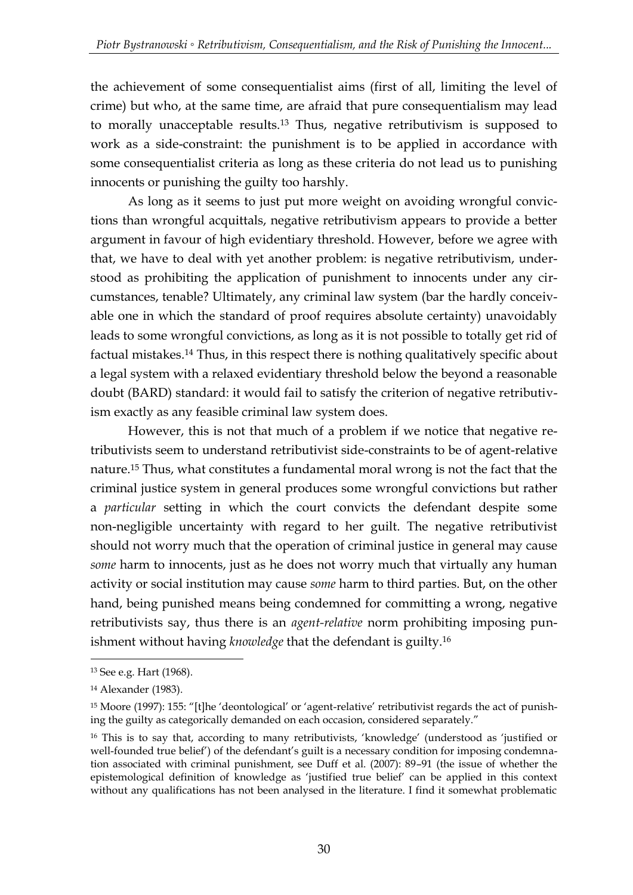the achievement of some consequentialist aims (first of all, limiting the level of crime) but who, at the same time, are afraid that pure consequentialism may lead to morally unacceptable results.<sup>13</sup> Thus, negative retributivism is supposed to work as a side-constraint: the punishment is to be applied in accordance with some consequentialist criteria as long as these criteria do not lead us to punishing innocents or punishing the guilty too harshly.

As long as it seems to just put more weight on avoiding wrongful convictions than wrongful acquittals, negative retributivism appears to provide a better argument in favour of high evidentiary threshold. However, before we agree with that, we have to deal with yet another problem: is negative retributivism, understood as prohibiting the application of punishment to innocents under any circumstances, tenable? Ultimately, any criminal law system (bar the hardly conceivable one in which the standard of proof requires absolute certainty) unavoidably leads to some wrongful convictions, as long as it is not possible to totally get rid of factual mistakes.<sup>14</sup> Thus, in this respect there is nothing qualitatively specific about a legal system with a relaxed evidentiary threshold below the beyond a reasonable doubt (BARD) standard: it would fail to satisfy the criterion of negative retributivism exactly as any feasible criminal law system does.

However, this is not that much of a problem if we notice that negative retributivists seem to understand retributivist side-constraints to be of agent-relative nature.<sup>15</sup> Thus, what constitutes a fundamental moral wrong is not the fact that the criminal justice system in general produces some wrongful convictions but rather a *particular* setting in which the court convicts the defendant despite some non-negligible uncertainty with regard to her guilt. The negative retributivist should not worry much that the operation of criminal justice in general may cause *some* harm to innocents, just as he does not worry much that virtually any human activity or social institution may cause *some* harm to third parties. But, on the other hand, being punished means being condemned for committing a wrong, negative retributivists say, thus there is an *agent-relative* norm prohibiting imposing punishment without having *knowledge* that the defendant is guilty.<sup>16</sup>

<sup>13</sup> See e.g. Hart (1968).

<sup>14</sup> Alexander (1983).

<sup>15</sup> Moore (1997): 155: "[t]he 'deontological' or 'agent-relative' retributivist regards the act of punishing the guilty as categorically demanded on each occasion, considered separately."

<sup>&</sup>lt;sup>16</sup> This is to say that, according to many retributivists, 'knowledge' (understood as 'justified or well-founded true belief') of the defendant's guilt is a necessary condition for imposing condemnation associated with criminal punishment, see Duff et al. (2007): 89–91 (the issue of whether the epistemological definition of knowledge as 'justified true belief' can be applied in this context without any qualifications has not been analysed in the literature. I find it somewhat problematic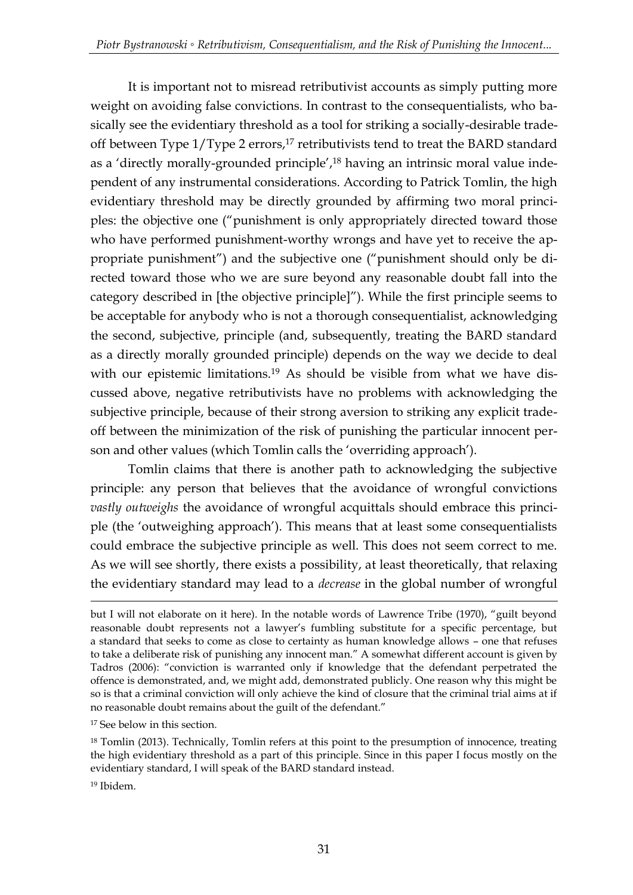It is important not to misread retributivist accounts as simply putting more weight on avoiding false convictions. In contrast to the consequentialists, who basically see the evidentiary threshold as a tool for striking a socially-desirable tradeoff between Type 1/Type 2 errors,<sup>17</sup> retributivists tend to treat the BARD standard as a 'directly morally-grounded principle',<sup>18</sup> having an intrinsic moral value independent of any instrumental considerations. According to Patrick Tomlin, the high evidentiary threshold may be directly grounded by affirming two moral principles: the objective one ("punishment is only appropriately directed toward those who have performed punishment-worthy wrongs and have yet to receive the appropriate punishment") and the subjective one ("punishment should only be directed toward those who we are sure beyond any reasonable doubt fall into the category described in [the objective principle]"). While the first principle seems to be acceptable for anybody who is not a thorough consequentialist, acknowledging the second, subjective, principle (and, subsequently, treating the BARD standard as a directly morally grounded principle) depends on the way we decide to deal with our epistemic limitations.<sup>19</sup> As should be visible from what we have discussed above, negative retributivists have no problems with acknowledging the subjective principle, because of their strong aversion to striking any explicit tradeoff between the minimization of the risk of punishing the particular innocent person and other values (which Tomlin calls the 'overriding approach').

Tomlin claims that there is another path to acknowledging the subjective principle: any person that believes that the avoidance of wrongful convictions *vastly outweighs* the avoidance of wrongful acquittals should embrace this principle (the 'outweighing approach'). This means that at least some consequentialists could embrace the subjective principle as well. This does not seem correct to me. As we will see shortly, there exists a possibility, at least theoretically, that relaxing the evidentiary standard may lead to a *decrease* in the global number of wrongful

but I will not elaborate on it here). In the notable words of Lawrence Tribe (1970), "guilt beyond reasonable doubt represents not a lawyer's fumbling substitute for a specific percentage, but a standard that seeks to come as close to certainty as human knowledge allows – one that refuses to take a deliberate risk of punishing any innocent man." A somewhat different account is given by Tadros (2006): "conviction is warranted only if knowledge that the defendant perpetrated the offence is demonstrated, and, we might add, demonstrated publicly. One reason why this might be so is that a criminal conviction will only achieve the kind of closure that the criminal trial aims at if no reasonable doubt remains about the guilt of the defendant."

<sup>17</sup> See below in this section.

<sup>&</sup>lt;sup>18</sup> Tomlin (2013). Technically, Tomlin refers at this point to the presumption of innocence, treating the high evidentiary threshold as a part of this principle. Since in this paper I focus mostly on the evidentiary standard, I will speak of the BARD standard instead.

<sup>19</sup> Ibidem.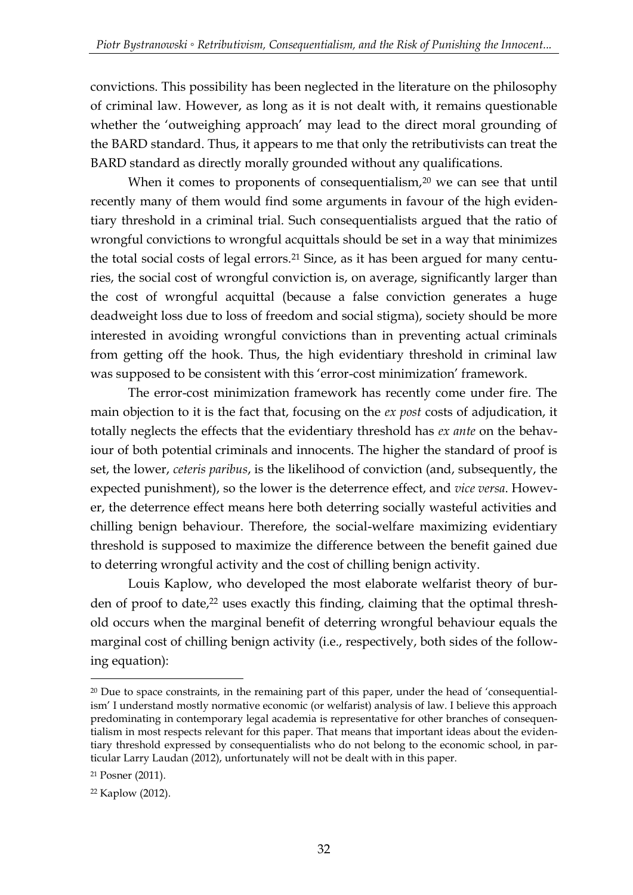convictions. This possibility has been neglected in the literature on the philosophy of criminal law. However, as long as it is not dealt with, it remains questionable whether the 'outweighing approach' may lead to the direct moral grounding of the BARD standard. Thus, it appears to me that only the retributivists can treat the BARD standard as directly morally grounded without any qualifications.

When it comes to proponents of consequentialism,  $20$  we can see that until recently many of them would find some arguments in favour of the high evidentiary threshold in a criminal trial. Such consequentialists argued that the ratio of wrongful convictions to wrongful acquittals should be set in a way that minimizes the total social costs of legal errors.<sup>21</sup> Since, as it has been argued for many centuries, the social cost of wrongful conviction is, on average, significantly larger than the cost of wrongful acquittal (because a false conviction generates a huge deadweight loss due to loss of freedom and social stigma), society should be more interested in avoiding wrongful convictions than in preventing actual criminals from getting off the hook. Thus, the high evidentiary threshold in criminal law was supposed to be consistent with this 'error-cost minimization' framework.

The error-cost minimization framework has recently come under fire. The main objection to it is the fact that, focusing on the *ex post* costs of adjudication, it totally neglects the effects that the evidentiary threshold has *ex ante* on the behaviour of both potential criminals and innocents. The higher the standard of proof is set, the lower, *ceteris paribus*, is the likelihood of conviction (and, subsequently, the expected punishment), so the lower is the deterrence effect, and *vice versa*. However, the deterrence effect means here both deterring socially wasteful activities and chilling benign behaviour. Therefore, the social-welfare maximizing evidentiary threshold is supposed to maximize the difference between the benefit gained due to deterring wrongful activity and the cost of chilling benign activity.

Louis Kaplow, who developed the most elaborate welfarist theory of burden of proof to date,<sup>22</sup> uses exactly this finding, claiming that the optimal threshold occurs when the marginal benefit of deterring wrongful behaviour equals the marginal cost of chilling benign activity (i.e., respectively, both sides of the following equation):

 $20$  Due to space constraints, in the remaining part of this paper, under the head of 'consequentialism' I understand mostly normative economic (or welfarist) analysis of law. I believe this approach predominating in contemporary legal academia is representative for other branches of consequentialism in most respects relevant for this paper. That means that important ideas about the evidentiary threshold expressed by consequentialists who do not belong to the economic school, in particular Larry Laudan (2012), unfortunately will not be dealt with in this paper.

<sup>21</sup> Posner (2011).

<sup>22</sup> Kaplow (2012).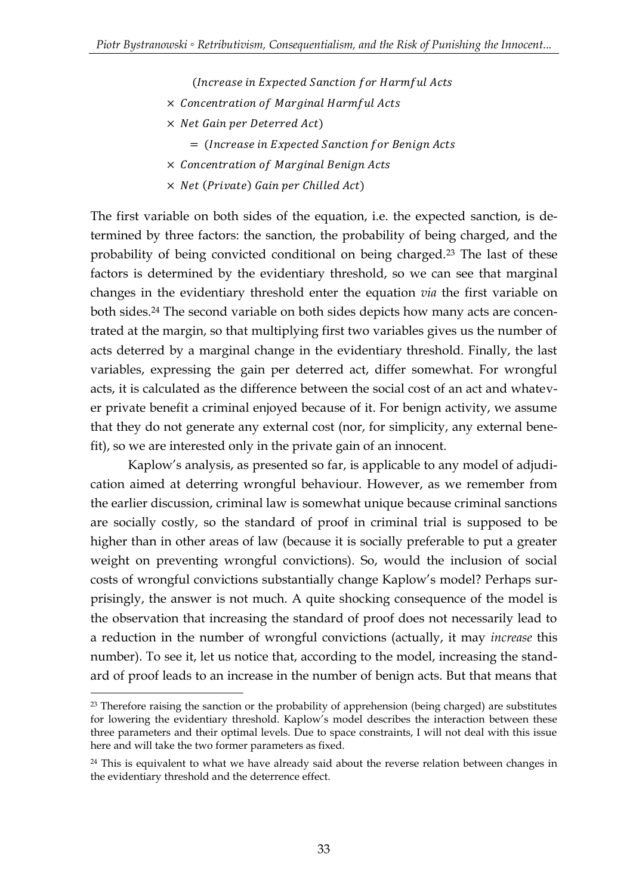(Increase in Expected Sanction for Harmful Acts

- $\times$  Concentration of Marginal Harmful Acts
- $\times$  Net Gain per Deterred Act)
	- = (Increase in Expected Sanction for Benign Acts
- × Concentration of Marginal Benign Acts
- $\times$  Net (Private) Gain per Chilled Act)

The first variable on both sides of the equation, i.e. the expected sanction, is determined by three factors: the sanction, the probability of being charged, and the probability of being convicted conditional on being charged.<sup>23</sup> The last of these factors is determined by the evidentiary threshold, so we can see that marginal changes in the evidentiary threshold enter the equation *via* the first variable on both sides.<sup>24</sup> The second variable on both sides depicts how many acts are concentrated at the margin, so that multiplying first two variables gives us the number of acts deterred by a marginal change in the evidentiary threshold. Finally, the last variables, expressing the gain per deterred act, differ somewhat. For wrongful acts, it is calculated as the difference between the social cost of an act and whatever private benefit a criminal enjoyed because of it. For benign activity, we assume that they do not generate any external cost (nor, for simplicity, any external benefit), so we are interested only in the private gain of an innocent.

Kaplow's analysis, as presented so far, is applicable to any model of adjudication aimed at deterring wrongful behaviour. However, as we remember from the earlier discussion, criminal law is somewhat unique because criminal sanctions are socially costly, so the standard of proof in criminal trial is supposed to be higher than in other areas of law (because it is socially preferable to put a greater weight on preventing wrongful convictions). So, would the inclusion of social costs of wrongful convictions substantially change Kaplow's model? Perhaps surprisingly, the answer is not much. A quite shocking consequence of the model is the observation that increasing the standard of proof does not necessarily lead to a reduction in the number of wrongful convictions (actually, it may *increase* this number). To see it, let us notice that, according to the model, increasing the standard of proof leads to an increase in the number of benign acts. But that means that

<u>.</u>

 $23$  Therefore raising the sanction or the probability of apprehension (being charged) are substitutes for lowering the evidentiary threshold. Kaplow's model describes the interaction between these three parameters and their optimal levels. Due to space constraints, I will not deal with this issue here and will take the two former parameters as fixed.

 $24$  This is equivalent to what we have already said about the reverse relation between changes in the evidentiary threshold and the deterrence effect.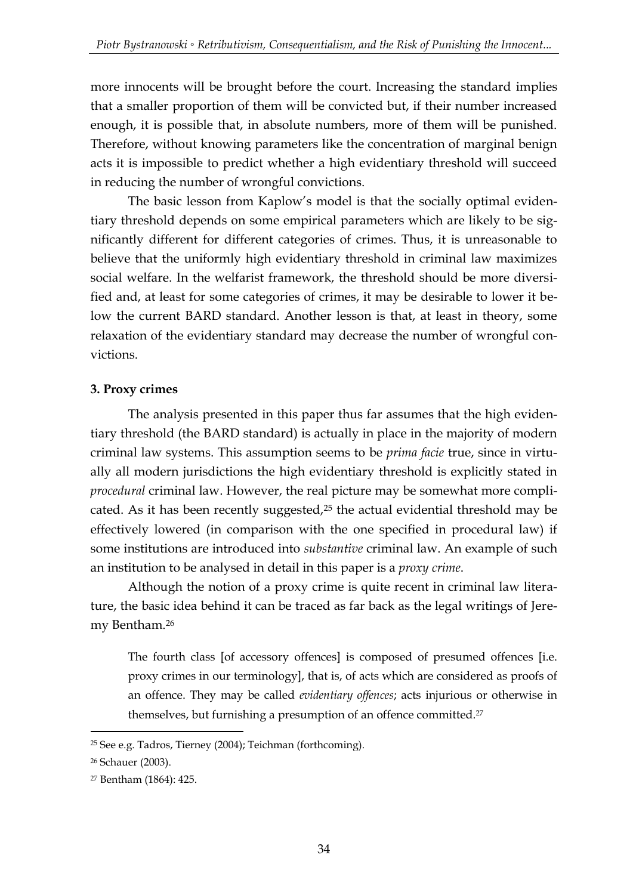more innocents will be brought before the court. Increasing the standard implies that a smaller proportion of them will be convicted but, if their number increased enough, it is possible that, in absolute numbers, more of them will be punished. Therefore, without knowing parameters like the concentration of marginal benign acts it is impossible to predict whether a high evidentiary threshold will succeed in reducing the number of wrongful convictions.

The basic lesson from Kaplow's model is that the socially optimal evidentiary threshold depends on some empirical parameters which are likely to be significantly different for different categories of crimes. Thus, it is unreasonable to believe that the uniformly high evidentiary threshold in criminal law maximizes social welfare. In the welfarist framework, the threshold should be more diversified and, at least for some categories of crimes, it may be desirable to lower it below the current BARD standard. Another lesson is that, at least in theory, some relaxation of the evidentiary standard may decrease the number of wrongful convictions.

# **3. Proxy crimes**

The analysis presented in this paper thus far assumes that the high evidentiary threshold (the BARD standard) is actually in place in the majority of modern criminal law systems. This assumption seems to be *prima facie* true, since in virtually all modern jurisdictions the high evidentiary threshold is explicitly stated in *procedural* criminal law. However, the real picture may be somewhat more complicated. As it has been recently suggested,<sup>25</sup> the actual evidential threshold may be effectively lowered (in comparison with the one specified in procedural law) if some institutions are introduced into *substantive* criminal law. An example of such an institution to be analysed in detail in this paper is a *proxy crime*.

Although the notion of a proxy crime is quite recent in criminal law literature, the basic idea behind it can be traced as far back as the legal writings of Jeremy Bentham.<sup>26</sup>

The fourth class [of accessory offences] is composed of presumed offences [i.e. proxy crimes in our terminology], that is, of acts which are considered as proofs of an offence. They may be called *evidentiary offences*; acts injurious or otherwise in themselves, but furnishing a presumption of an offence committed.<sup>27</sup>

<u>.</u>

<sup>25</sup> See e.g. Tadros, Tierney (2004); Teichman (forthcoming).

<sup>26</sup> Schauer (2003).

<sup>27</sup> Bentham (1864): 425.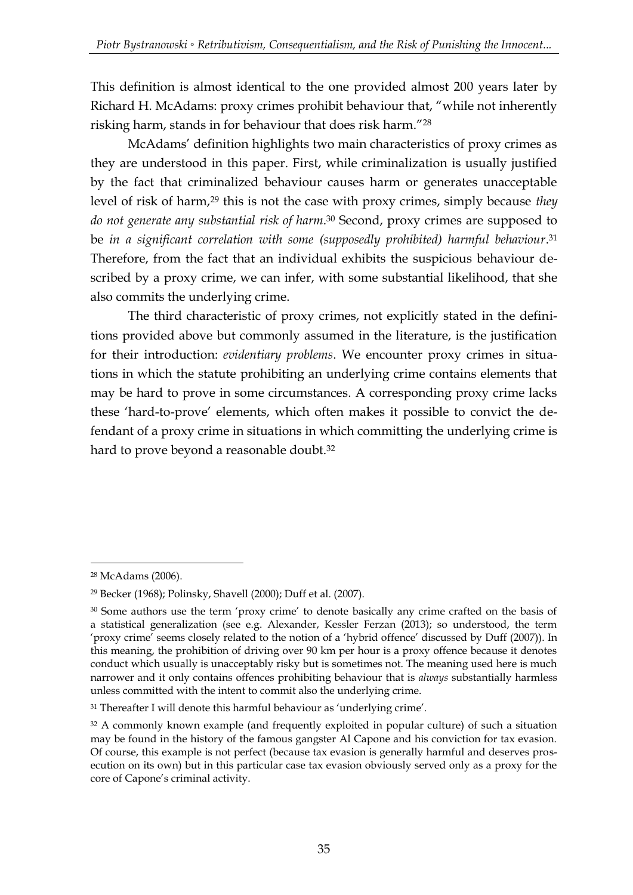This definition is almost identical to the one provided almost 200 years later by Richard H. McAdams: proxy crimes prohibit behaviour that, "while not inherently risking harm, stands in for behaviour that does risk harm."<sup>28</sup>

McAdams' definition highlights two main characteristics of proxy crimes as they are understood in this paper. First, while criminalization is usually justified by the fact that criminalized behaviour causes harm or generates unacceptable level of risk of harm,<sup>29</sup> this is not the case with proxy crimes, simply because *they do not generate any substantial risk of harm*. <sup>30</sup> Second, proxy crimes are supposed to be *in a significant correlation with some (supposedly prohibited) harmful behaviour*. 31 Therefore, from the fact that an individual exhibits the suspicious behaviour described by a proxy crime, we can infer, with some substantial likelihood, that she also commits the underlying crime.

The third characteristic of proxy crimes, not explicitly stated in the definitions provided above but commonly assumed in the literature, is the justification for their introduction: *evidentiary problems*. We encounter proxy crimes in situations in which the statute prohibiting an underlying crime contains elements that may be hard to prove in some circumstances. A corresponding proxy crime lacks these 'hard-to-prove' elements, which often makes it possible to convict the defendant of a proxy crime in situations in which committing the underlying crime is hard to prove beyond a reasonable doubt.<sup>32</sup>

<sup>28</sup> McAdams (2006).

<sup>29</sup> Becker (1968); Polinsky, Shavell (2000); Duff et al. (2007).

<sup>&</sup>lt;sup>30</sup> Some authors use the term 'proxy crime' to denote basically any crime crafted on the basis of a statistical generalization (see e.g. Alexander, Kessler Ferzan (2013); so understood, the term 'proxy crime' seems closely related to the notion of a 'hybrid offence' discussed by Duff (2007)). In this meaning, the prohibition of driving over 90 km per hour is a proxy offence because it denotes conduct which usually is unacceptably risky but is sometimes not. The meaning used here is much narrower and it only contains offences prohibiting behaviour that is *always* substantially harmless unless committed with the intent to commit also the underlying crime.

<sup>&</sup>lt;sup>31</sup> Thereafter I will denote this harmful behaviour as 'underlying crime'.

<sup>&</sup>lt;sup>32</sup> A commonly known example (and frequently exploited in popular culture) of such a situation may be found in the history of the famous gangster Al Capone and his conviction for tax evasion. Of course, this example is not perfect (because tax evasion is generally harmful and deserves prosecution on its own) but in this particular case tax evasion obviously served only as a proxy for the core of Capone's criminal activity.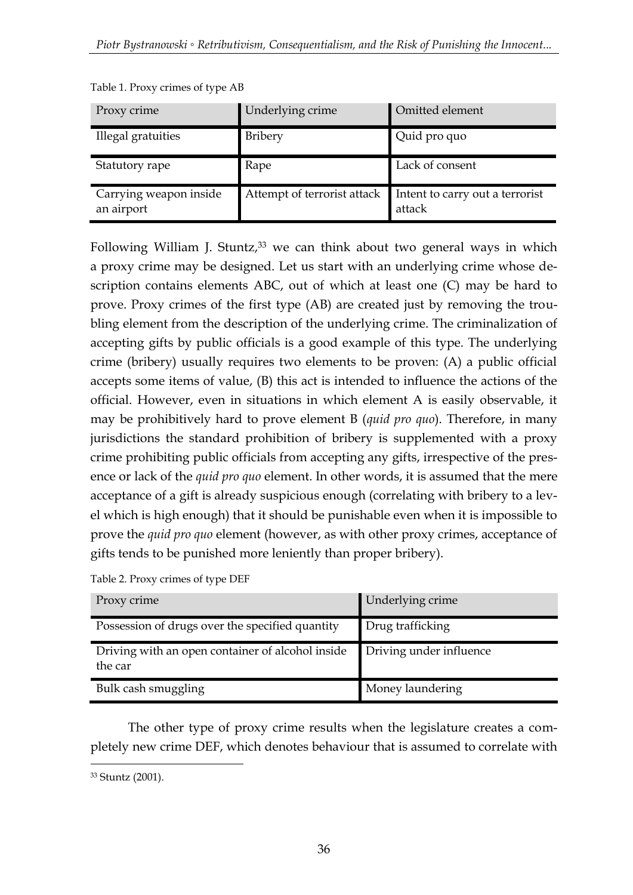| Proxy crime                          | Underlying crime | Omitted element                                                       |
|--------------------------------------|------------------|-----------------------------------------------------------------------|
| Illegal gratuities                   | Bribery          | Quid pro quo                                                          |
| Statutory rape                       | Rape             | Lack of consent                                                       |
| Carrying weapon inside<br>an airport |                  | Attempt of terrorist attack Intent to carry out a terrorist<br>attack |

Table 1. Proxy crimes of type AB

Following William J. Stuntz, $33$  we can think about two general ways in which a proxy crime may be designed. Let us start with an underlying crime whose description contains elements ABC, out of which at least one (C) may be hard to prove. Proxy crimes of the first type (AB) are created just by removing the troubling element from the description of the underlying crime. The criminalization of accepting gifts by public officials is a good example of this type. The underlying crime (bribery) usually requires two elements to be proven: (A) a public official accepts some items of value, (B) this act is intended to influence the actions of the official. However, even in situations in which element A is easily observable, it may be prohibitively hard to prove element B (*quid pro quo*). Therefore, in many jurisdictions the standard prohibition of bribery is supplemented with a proxy crime prohibiting public officials from accepting any gifts, irrespective of the presence or lack of the *quid pro quo* element. In other words, it is assumed that the mere acceptance of a gift is already suspicious enough (correlating with bribery to a level which is high enough) that it should be punishable even when it is impossible to prove the *quid pro quo* element (however, as with other proxy crimes, acceptance of gifts tends to be punished more leniently than proper bribery).

Table 2. Proxy crimes of type DEF

| Proxy crime                                                 | Underlying crime        |
|-------------------------------------------------------------|-------------------------|
| Possession of drugs over the specified quantity             | Drug trafficking        |
| Driving with an open container of alcohol inside<br>the car | Driving under influence |
| Bulk cash smuggling                                         | Money laundering        |

The other type of proxy crime results when the legislature creates a completely new crime DEF, which denotes behaviour that is assumed to correlate with

<sup>&</sup>lt;u>.</u> <sup>33</sup> Stuntz (2001).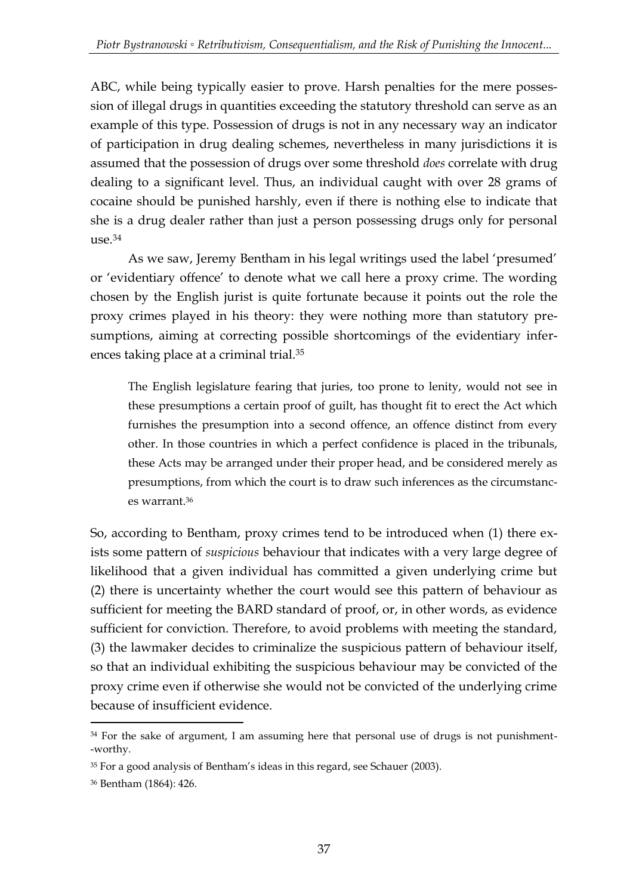ABC, while being typically easier to prove. Harsh penalties for the mere possession of illegal drugs in quantities exceeding the statutory threshold can serve as an example of this type. Possession of drugs is not in any necessary way an indicator of participation in drug dealing schemes, nevertheless in many jurisdictions it is assumed that the possession of drugs over some threshold *does* correlate with drug dealing to a significant level. Thus, an individual caught with over 28 grams of cocaine should be punished harshly, even if there is nothing else to indicate that she is a drug dealer rather than just a person possessing drugs only for personal use.<sup>34</sup>

As we saw, Jeremy Bentham in his legal writings used the label 'presumed' or 'evidentiary offence' to denote what we call here a proxy crime. The wording chosen by the English jurist is quite fortunate because it points out the role the proxy crimes played in his theory: they were nothing more than statutory presumptions, aiming at correcting possible shortcomings of the evidentiary inferences taking place at a criminal trial.<sup>35</sup>

The English legislature fearing that juries, too prone to lenity, would not see in these presumptions a certain proof of guilt, has thought fit to erect the Act which furnishes the presumption into a second offence, an offence distinct from every other. In those countries in which a perfect confidence is placed in the tribunals, these Acts may be arranged under their proper head, and be considered merely as presumptions, from which the court is to draw such inferences as the circumstances warrant.<sup>36</sup>

So, according to Bentham, proxy crimes tend to be introduced when (1) there exists some pattern of *suspicious* behaviour that indicates with a very large degree of likelihood that a given individual has committed a given underlying crime but (2) there is uncertainty whether the court would see this pattern of behaviour as sufficient for meeting the BARD standard of proof, or, in other words, as evidence sufficient for conviction. Therefore, to avoid problems with meeting the standard, (3) the lawmaker decides to criminalize the suspicious pattern of behaviour itself, so that an individual exhibiting the suspicious behaviour may be convicted of the proxy crime even if otherwise she would not be convicted of the underlying crime because of insufficient evidence.

<sup>-</sup><sup>34</sup> For the sake of argument, I am assuming here that personal use of drugs is not punishment--worthy.

<sup>35</sup> For a good analysis of Bentham's ideas in this regard, see Schauer (2003).

<sup>36</sup> Bentham (1864): 426.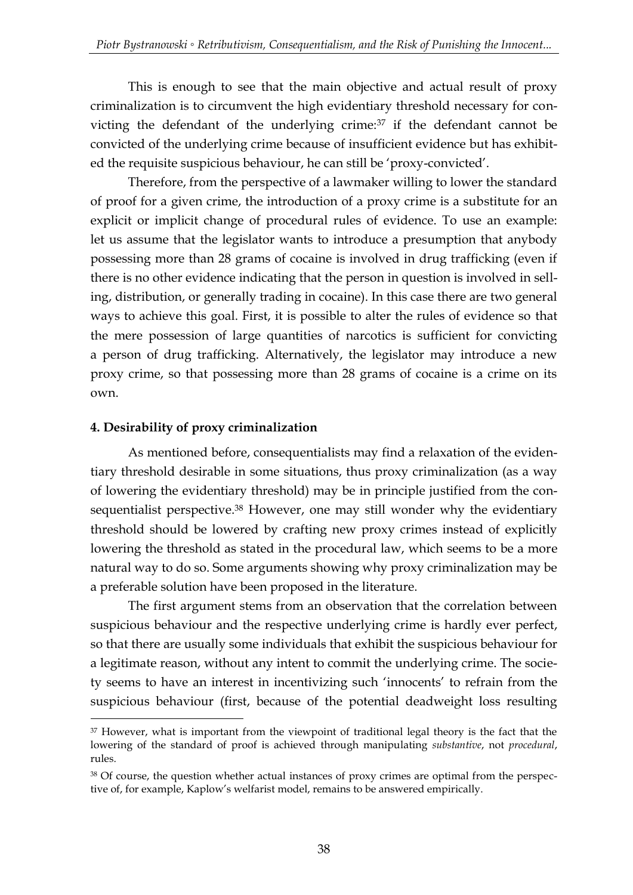This is enough to see that the main objective and actual result of proxy criminalization is to circumvent the high evidentiary threshold necessary for convicting the defendant of the underlying crime:<sup>37</sup> if the defendant cannot be convicted of the underlying crime because of insufficient evidence but has exhibited the requisite suspicious behaviour, he can still be 'proxy-convicted'.

Therefore, from the perspective of a lawmaker willing to lower the standard of proof for a given crime, the introduction of a proxy crime is a substitute for an explicit or implicit change of procedural rules of evidence. To use an example: let us assume that the legislator wants to introduce a presumption that anybody possessing more than 28 grams of cocaine is involved in drug trafficking (even if there is no other evidence indicating that the person in question is involved in selling, distribution, or generally trading in cocaine). In this case there are two general ways to achieve this goal. First, it is possible to alter the rules of evidence so that the mere possession of large quantities of narcotics is sufficient for convicting a person of drug trafficking. Alternatively, the legislator may introduce a new proxy crime, so that possessing more than 28 grams of cocaine is a crime on its own.

# **4. Desirability of proxy criminalization**

<u>.</u>

As mentioned before, consequentialists may find a relaxation of the evidentiary threshold desirable in some situations, thus proxy criminalization (as a way of lowering the evidentiary threshold) may be in principle justified from the consequentialist perspective.<sup>38</sup> However, one may still wonder why the evidentiary threshold should be lowered by crafting new proxy crimes instead of explicitly lowering the threshold as stated in the procedural law, which seems to be a more natural way to do so. Some arguments showing why proxy criminalization may be a preferable solution have been proposed in the literature.

The first argument stems from an observation that the correlation between suspicious behaviour and the respective underlying crime is hardly ever perfect, so that there are usually some individuals that exhibit the suspicious behaviour for a legitimate reason, without any intent to commit the underlying crime. The society seems to have an interest in incentivizing such 'innocents' to refrain from the suspicious behaviour (first, because of the potential deadweight loss resulting

<sup>&</sup>lt;sup>37</sup> However, what is important from the viewpoint of traditional legal theory is the fact that the lowering of the standard of proof is achieved through manipulating *substantive*, not *procedural*, rules.

<sup>38</sup> Of course, the question whether actual instances of proxy crimes are optimal from the perspective of, for example, Kaplow's welfarist model, remains to be answered empirically.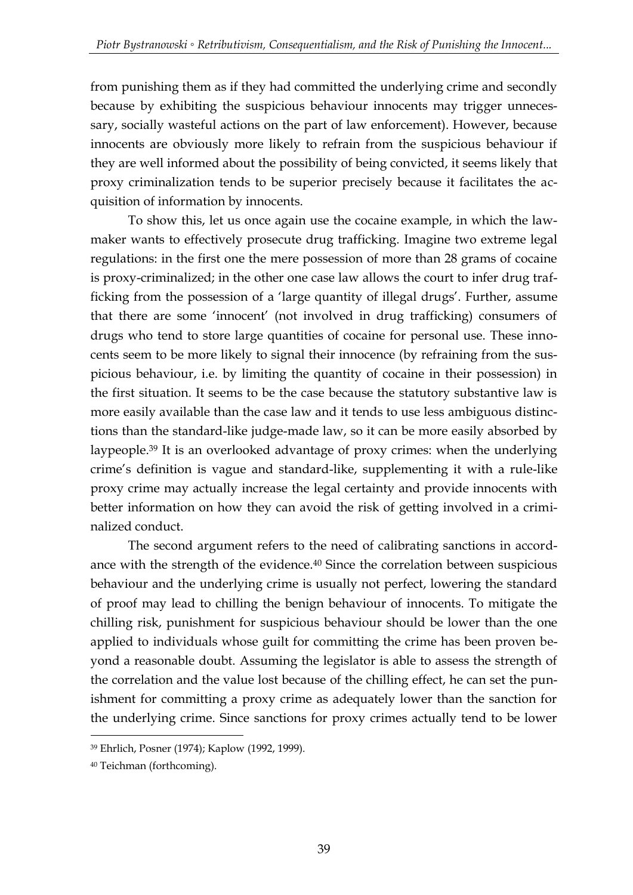from punishing them as if they had committed the underlying crime and secondly because by exhibiting the suspicious behaviour innocents may trigger unnecessary, socially wasteful actions on the part of law enforcement). However, because innocents are obviously more likely to refrain from the suspicious behaviour if they are well informed about the possibility of being convicted, it seems likely that proxy criminalization tends to be superior precisely because it facilitates the acquisition of information by innocents.

To show this, let us once again use the cocaine example, in which the lawmaker wants to effectively prosecute drug trafficking. Imagine two extreme legal regulations: in the first one the mere possession of more than 28 grams of cocaine is proxy-criminalized; in the other one case law allows the court to infer drug trafficking from the possession of a 'large quantity of illegal drugs'. Further, assume that there are some 'innocent' (not involved in drug trafficking) consumers of drugs who tend to store large quantities of cocaine for personal use. These innocents seem to be more likely to signal their innocence (by refraining from the suspicious behaviour, i.e. by limiting the quantity of cocaine in their possession) in the first situation. It seems to be the case because the statutory substantive law is more easily available than the case law and it tends to use less ambiguous distinctions than the standard-like judge-made law, so it can be more easily absorbed by laypeople.<sup>39</sup> It is an overlooked advantage of proxy crimes: when the underlying crime's definition is vague and standard-like, supplementing it with a rule-like proxy crime may actually increase the legal certainty and provide innocents with better information on how they can avoid the risk of getting involved in a criminalized conduct.

The second argument refers to the need of calibrating sanctions in accordance with the strength of the evidence.<sup>40</sup> Since the correlation between suspicious behaviour and the underlying crime is usually not perfect, lowering the standard of proof may lead to chilling the benign behaviour of innocents. To mitigate the chilling risk, punishment for suspicious behaviour should be lower than the one applied to individuals whose guilt for committing the crime has been proven beyond a reasonable doubt. Assuming the legislator is able to assess the strength of the correlation and the value lost because of the chilling effect, he can set the punishment for committing a proxy crime as adequately lower than the sanction for the underlying crime. Since sanctions for proxy crimes actually tend to be lower

<sup>39</sup> Ehrlich, Posner (1974); Kaplow (1992, 1999).

<sup>40</sup> Teichman (forthcoming).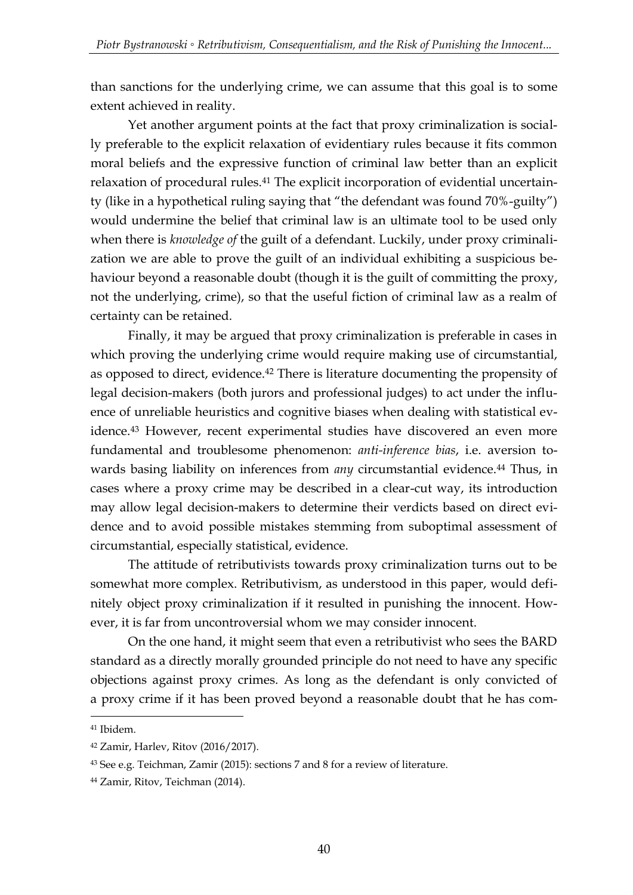than sanctions for the underlying crime, we can assume that this goal is to some extent achieved in reality.

Yet another argument points at the fact that proxy criminalization is socially preferable to the explicit relaxation of evidentiary rules because it fits common moral beliefs and the expressive function of criminal law better than an explicit relaxation of procedural rules.<sup>41</sup> The explicit incorporation of evidential uncertainty (like in a hypothetical ruling saying that "the defendant was found 70%-guilty") would undermine the belief that criminal law is an ultimate tool to be used only when there is *knowledge of* the guilt of a defendant. Luckily, under proxy criminalization we are able to prove the guilt of an individual exhibiting a suspicious behaviour beyond a reasonable doubt (though it is the guilt of committing the proxy, not the underlying, crime), so that the useful fiction of criminal law as a realm of certainty can be retained.

Finally, it may be argued that proxy criminalization is preferable in cases in which proving the underlying crime would require making use of circumstantial, as opposed to direct, evidence.<sup>42</sup> There is literature documenting the propensity of legal decision-makers (both jurors and professional judges) to act under the influence of unreliable heuristics and cognitive biases when dealing with statistical evidence.<sup>43</sup> However, recent experimental studies have discovered an even more fundamental and troublesome phenomenon: *anti-inference bias*, i.e. aversion towards basing liability on inferences from *any* circumstantial evidence.<sup>44</sup> Thus, in cases where a proxy crime may be described in a clear-cut way, its introduction may allow legal decision-makers to determine their verdicts based on direct evidence and to avoid possible mistakes stemming from suboptimal assessment of circumstantial, especially statistical, evidence.

The attitude of retributivists towards proxy criminalization turns out to be somewhat more complex. Retributivism, as understood in this paper, would definitely object proxy criminalization if it resulted in punishing the innocent. However, it is far from uncontroversial whom we may consider innocent.

On the one hand, it might seem that even a retributivist who sees the BARD standard as a directly morally grounded principle do not need to have any specific objections against proxy crimes. As long as the defendant is only convicted of a proxy crime if it has been proved beyond a reasonable doubt that he has com-

<sup>41</sup> Ibidem.

<sup>42</sup> Zamir, Harlev, Ritov (2016/2017).

<sup>43</sup> See e.g. Teichman, Zamir (2015): sections 7 and 8 for a review of literature.

<sup>44</sup> Zamir, Ritov, Teichman (2014).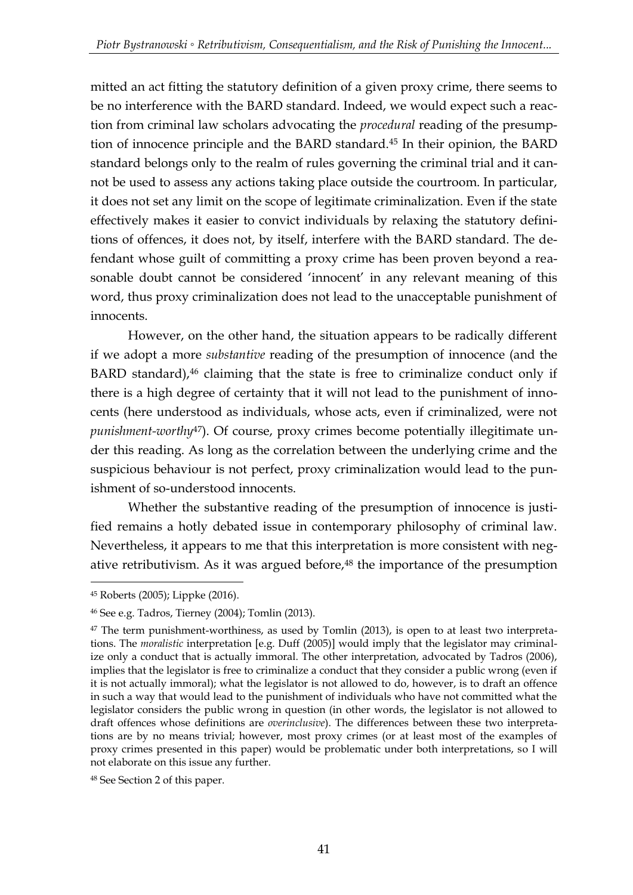mitted an act fitting the statutory definition of a given proxy crime, there seems to be no interference with the BARD standard. Indeed, we would expect such a reaction from criminal law scholars advocating the *procedural* reading of the presumption of innocence principle and the BARD standard.<sup>45</sup> In their opinion, the BARD standard belongs only to the realm of rules governing the criminal trial and it cannot be used to assess any actions taking place outside the courtroom. In particular, it does not set any limit on the scope of legitimate criminalization. Even if the state effectively makes it easier to convict individuals by relaxing the statutory definitions of offences, it does not, by itself, interfere with the BARD standard. The defendant whose guilt of committing a proxy crime has been proven beyond a reasonable doubt cannot be considered 'innocent' in any relevant meaning of this word, thus proxy criminalization does not lead to the unacceptable punishment of innocents.

However, on the other hand, the situation appears to be radically different if we adopt a more *substantive* reading of the presumption of innocence (and the BARD standard),<sup>46</sup> claiming that the state is free to criminalize conduct only if there is a high degree of certainty that it will not lead to the punishment of innocents (here understood as individuals, whose acts, even if criminalized, were not *punishment-worthy*47). Of course, proxy crimes become potentially illegitimate under this reading. As long as the correlation between the underlying crime and the suspicious behaviour is not perfect, proxy criminalization would lead to the punishment of so-understood innocents.

Whether the substantive reading of the presumption of innocence is justified remains a hotly debated issue in contemporary philosophy of criminal law. Nevertheless, it appears to me that this interpretation is more consistent with negative retributivism. As it was argued before,<sup>48</sup> the importance of the presumption

<sup>45</sup> Roberts (2005); Lippke (2016).

<sup>46</sup> See e.g. Tadros, Tierney (2004); Tomlin (2013).

<sup>&</sup>lt;sup>47</sup> The term punishment-worthiness, as used by Tomlin (2013), is open to at least two interpretations. The *moralistic* interpretation [e.g. Duff (2005)] would imply that the legislator may criminalize only a conduct that is actually immoral. The other interpretation, advocated by Tadros (2006), implies that the legislator is free to criminalize a conduct that they consider a public wrong (even if it is not actually immoral); what the legislator is not allowed to do, however, is to draft an offence in such a way that would lead to the punishment of individuals who have not committed what the legislator considers the public wrong in question (in other words, the legislator is not allowed to draft offences whose definitions are *overinclusive*). The differences between these two interpretations are by no means trivial; however, most proxy crimes (or at least most of the examples of proxy crimes presented in this paper) would be problematic under both interpretations, so I will not elaborate on this issue any further.

<sup>48</sup> See Section 2 of this paper.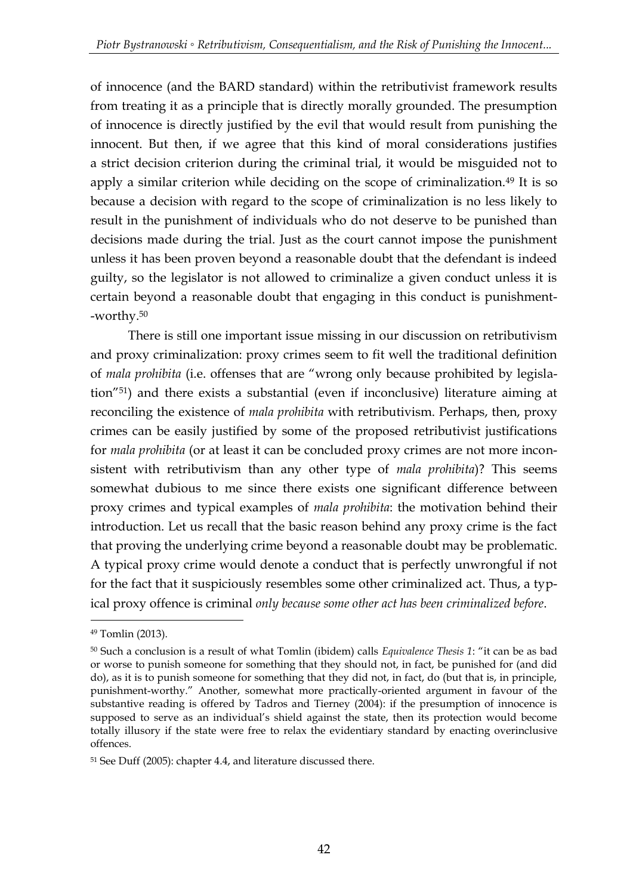of innocence (and the BARD standard) within the retributivist framework results from treating it as a principle that is directly morally grounded. The presumption of innocence is directly justified by the evil that would result from punishing the innocent. But then, if we agree that this kind of moral considerations justifies a strict decision criterion during the criminal trial, it would be misguided not to apply a similar criterion while deciding on the scope of criminalization.<sup>49</sup> It is so because a decision with regard to the scope of criminalization is no less likely to result in the punishment of individuals who do not deserve to be punished than decisions made during the trial. Just as the court cannot impose the punishment unless it has been proven beyond a reasonable doubt that the defendant is indeed guilty, so the legislator is not allowed to criminalize a given conduct unless it is certain beyond a reasonable doubt that engaging in this conduct is punishment- -worthy.<sup>50</sup>

There is still one important issue missing in our discussion on retributivism and proxy criminalization: proxy crimes seem to fit well the traditional definition of *mala prohibita* (i.e. offenses that are "wrong only because prohibited by legislation"51) and there exists a substantial (even if inconclusive) literature aiming at reconciling the existence of *mala prohibita* with retributivism. Perhaps, then, proxy crimes can be easily justified by some of the proposed retributivist justifications for *mala prohibita* (or at least it can be concluded proxy crimes are not more inconsistent with retributivism than any other type of *mala prohibita*)? This seems somewhat dubious to me since there exists one significant difference between proxy crimes and typical examples of *mala prohibita*: the motivation behind their introduction. Let us recall that the basic reason behind any proxy crime is the fact that proving the underlying crime beyond a reasonable doubt may be problematic. A typical proxy crime would denote a conduct that is perfectly unwrongful if not for the fact that it suspiciously resembles some other criminalized act. Thus, a typical proxy offence is criminal *only because some other act has been criminalized before*.

<sup>49</sup> Tomlin (2013).

<sup>50</sup> Such a conclusion is a result of what Tomlin (ibidem) calls *Equivalence Thesis 1*: "it can be as bad or worse to punish someone for something that they should not, in fact, be punished for (and did do), as it is to punish someone for something that they did not, in fact, do (but that is, in principle, punishment-worthy." Another, somewhat more practically-oriented argument in favour of the substantive reading is offered by Tadros and Tierney (2004): if the presumption of innocence is supposed to serve as an individual's shield against the state, then its protection would become totally illusory if the state were free to relax the evidentiary standard by enacting overinclusive offences.

<sup>51</sup> See Duff (2005): chapter 4.4, and literature discussed there.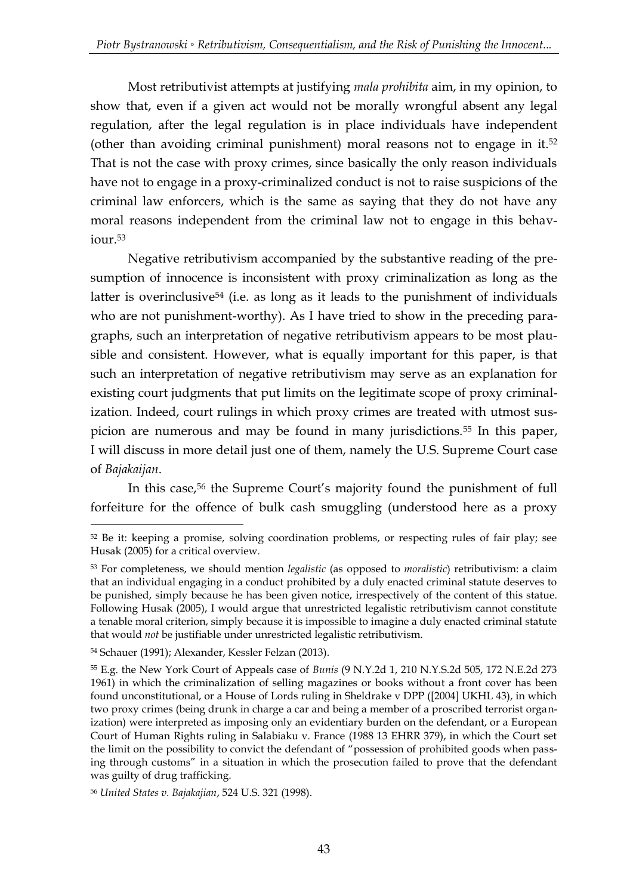Most retributivist attempts at justifying *mala prohibita* aim, in my opinion, to show that, even if a given act would not be morally wrongful absent any legal regulation, after the legal regulation is in place individuals have independent (other than avoiding criminal punishment) moral reasons not to engage in it.<sup>52</sup> That is not the case with proxy crimes, since basically the only reason individuals have not to engage in a proxy-criminalized conduct is not to raise suspicions of the criminal law enforcers, which is the same as saying that they do not have any moral reasons independent from the criminal law not to engage in this behaviour.<sup>53</sup>

Negative retributivism accompanied by the substantive reading of the presumption of innocence is inconsistent with proxy criminalization as long as the latter is overinclusive<sup>54</sup> (i.e. as long as it leads to the punishment of individuals who are not punishment-worthy). As I have tried to show in the preceding paragraphs, such an interpretation of negative retributivism appears to be most plausible and consistent. However, what is equally important for this paper, is that such an interpretation of negative retributivism may serve as an explanation for existing court judgments that put limits on the legitimate scope of proxy criminalization. Indeed, court rulings in which proxy crimes are treated with utmost suspicion are numerous and may be found in many jurisdictions.<sup>55</sup> In this paper, I will discuss in more detail just one of them, namely the U.S. Supreme Court case of *Bajakaijan*.

In this case,<sup>56</sup> the Supreme Court's majority found the punishment of full forfeiture for the offence of bulk cash smuggling (understood here as a proxy

<sup>52</sup> Be it: keeping a promise, solving coordination problems, or respecting rules of fair play; see Husak (2005) for a critical overview.

<sup>53</sup> For completeness, we should mention *legalistic* (as opposed to *moralistic*) retributivism: a claim that an individual engaging in a conduct prohibited by a duly enacted criminal statute deserves to be punished, simply because he has been given notice, irrespectively of the content of this statue. Following Husak (2005), I would argue that unrestricted legalistic retributivism cannot constitute a tenable moral criterion, simply because it is impossible to imagine a duly enacted criminal statute that would *not* be justifiable under unrestricted legalistic retributivism.

<sup>54</sup> Schauer (1991); Alexander, Kessler Felzan (2013).

<sup>55</sup> E.g. the New York Court of Appeals case of *Bunis* (9 N.Y.2d 1, 210 N.Y.S.2d 505, 172 N.E.2d 273 1961) in which the criminalization of selling magazines or books without a front cover has been found unconstitutional, or a House of Lords ruling in Sheldrake v DPP ([2004] UKHL 43), in which two proxy crimes (being drunk in charge a car and being a member of a proscribed terrorist organization) were interpreted as imposing only an evidentiary burden on the defendant, or a European Court of Human Rights ruling in Salabiaku v. France (1988 13 EHRR 379), in which the Court set the limit on the possibility to convict the defendant of "possession of prohibited goods when passing through customs" in a situation in which the prosecution failed to prove that the defendant was guilty of drug trafficking.

<sup>56</sup> *United States v. Bajakajian*, 524 U.S. 321 (1998).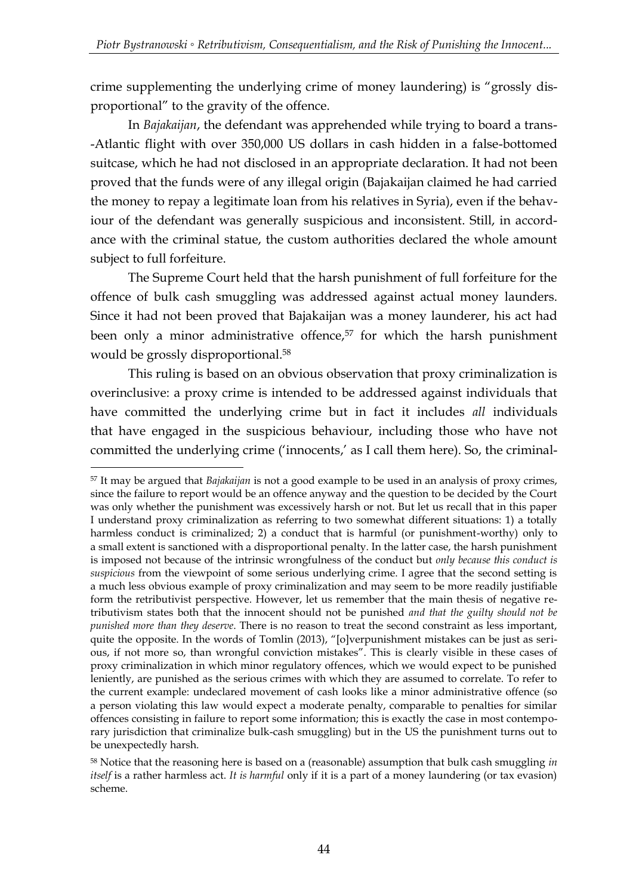crime supplementing the underlying crime of money laundering) is "grossly disproportional" to the gravity of the offence.

In *Bajakaijan*, the defendant was apprehended while trying to board a trans- -Atlantic flight with over 350,000 US dollars in cash hidden in a false-bottomed suitcase, which he had not disclosed in an appropriate declaration. It had not been proved that the funds were of any illegal origin (Bajakaijan claimed he had carried the money to repay a legitimate loan from his relatives in Syria), even if the behaviour of the defendant was generally suspicious and inconsistent. Still, in accordance with the criminal statue, the custom authorities declared the whole amount subject to full forfeiture.

The Supreme Court held that the harsh punishment of full forfeiture for the offence of bulk cash smuggling was addressed against actual money launders. Since it had not been proved that Bajakaijan was a money launderer, his act had been only a minor administrative offence,<sup>57</sup> for which the harsh punishment would be grossly disproportional.<sup>58</sup>

This ruling is based on an obvious observation that proxy criminalization is overinclusive: a proxy crime is intended to be addressed against individuals that have committed the underlying crime but in fact it includes *all* individuals that have engaged in the suspicious behaviour, including those who have not committed the underlying crime ('innocents,' as I call them here). So, the criminal-

<sup>57</sup> It may be argued that *Bajakaijan* is not a good example to be used in an analysis of proxy crimes, since the failure to report would be an offence anyway and the question to be decided by the Court was only whether the punishment was excessively harsh or not. But let us recall that in this paper I understand proxy criminalization as referring to two somewhat different situations: 1) a totally harmless conduct is criminalized; 2) a conduct that is harmful (or punishment-worthy) only to a small extent is sanctioned with a disproportional penalty. In the latter case, the harsh punishment is imposed not because of the intrinsic wrongfulness of the conduct but *only because this conduct is suspicious* from the viewpoint of some serious underlying crime. I agree that the second setting is a much less obvious example of proxy criminalization and may seem to be more readily justifiable form the retributivist perspective. However, let us remember that the main thesis of negative retributivism states both that the innocent should not be punished *and that the guilty should not be punished more than they deserve*. There is no reason to treat the second constraint as less important, quite the opposite. In the words of Tomlin (2013), "[o]verpunishment mistakes can be just as serious, if not more so, than wrongful conviction mistakes". This is clearly visible in these cases of proxy criminalization in which minor regulatory offences, which we would expect to be punished leniently, are punished as the serious crimes with which they are assumed to correlate. To refer to the current example: undeclared movement of cash looks like a minor administrative offence (so a person violating this law would expect a moderate penalty, comparable to penalties for similar offences consisting in failure to report some information; this is exactly the case in most contemporary jurisdiction that criminalize bulk-cash smuggling) but in the US the punishment turns out to be unexpectedly harsh.

<sup>58</sup> Notice that the reasoning here is based on a (reasonable) assumption that bulk cash smuggling *in itself* is a rather harmless act. *It is harmful* only if it is a part of a money laundering (or tax evasion) scheme.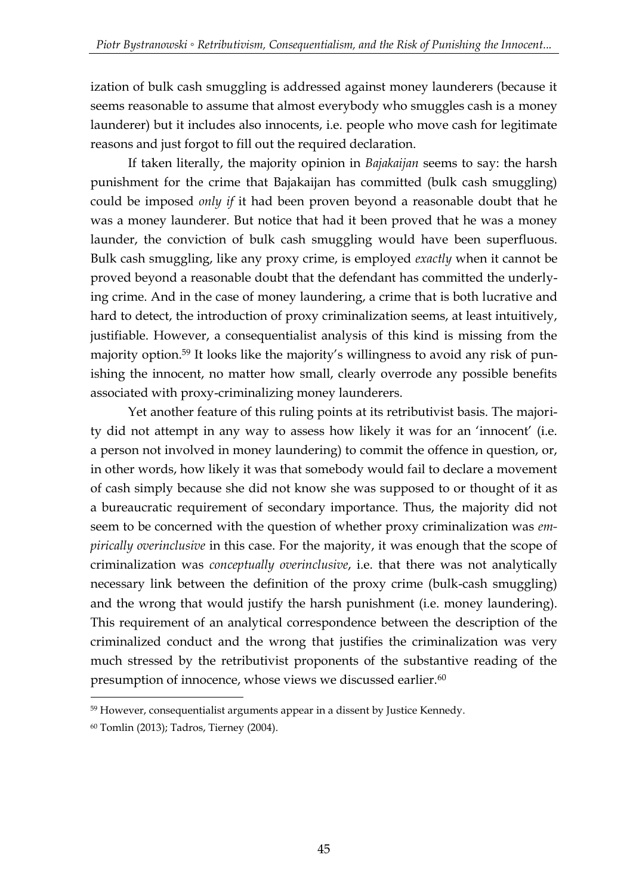ization of bulk cash smuggling is addressed against money launderers (because it seems reasonable to assume that almost everybody who smuggles cash is a money launderer) but it includes also innocents, i.e. people who move cash for legitimate reasons and just forgot to fill out the required declaration.

If taken literally, the majority opinion in *Bajakaijan* seems to say: the harsh punishment for the crime that Bajakaijan has committed (bulk cash smuggling) could be imposed *only if* it had been proven beyond a reasonable doubt that he was a money launderer. But notice that had it been proved that he was a money launder, the conviction of bulk cash smuggling would have been superfluous. Bulk cash smuggling, like any proxy crime, is employed *exactly* when it cannot be proved beyond a reasonable doubt that the defendant has committed the underlying crime. And in the case of money laundering, a crime that is both lucrative and hard to detect, the introduction of proxy criminalization seems, at least intuitively, justifiable. However, a consequentialist analysis of this kind is missing from the majority option.<sup>59</sup> It looks like the majority's willingness to avoid any risk of punishing the innocent, no matter how small, clearly overrode any possible benefits associated with proxy-criminalizing money launderers.

Yet another feature of this ruling points at its retributivist basis. The majority did not attempt in any way to assess how likely it was for an 'innocent' (i.e. a person not involved in money laundering) to commit the offence in question, or, in other words, how likely it was that somebody would fail to declare a movement of cash simply because she did not know she was supposed to or thought of it as a bureaucratic requirement of secondary importance. Thus, the majority did not seem to be concerned with the question of whether proxy criminalization was *empirically overinclusive* in this case. For the majority, it was enough that the scope of criminalization was *conceptually overinclusive*, i.e. that there was not analytically necessary link between the definition of the proxy crime (bulk-cash smuggling) and the wrong that would justify the harsh punishment (i.e. money laundering). This requirement of an analytical correspondence between the description of the criminalized conduct and the wrong that justifies the criminalization was very much stressed by the retributivist proponents of the substantive reading of the presumption of innocence, whose views we discussed earlier.<sup>60</sup>

<sup>59</sup> However, consequentialist arguments appear in a dissent by Justice Kennedy.

<sup>60</sup> Tomlin (2013); Tadros, Tierney (2004).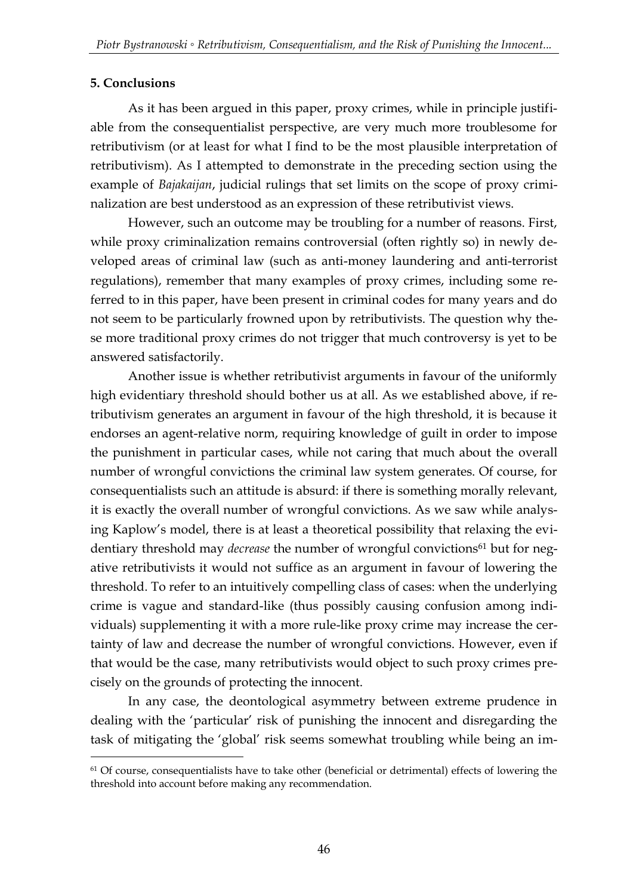#### **5. Conclusions**

<u>.</u>

As it has been argued in this paper, proxy crimes, while in principle justifiable from the consequentialist perspective, are very much more troublesome for retributivism (or at least for what I find to be the most plausible interpretation of retributivism). As I attempted to demonstrate in the preceding section using the example of *Bajakaijan*, judicial rulings that set limits on the scope of proxy criminalization are best understood as an expression of these retributivist views.

However, such an outcome may be troubling for a number of reasons. First, while proxy criminalization remains controversial (often rightly so) in newly developed areas of criminal law (such as anti-money laundering and anti-terrorist regulations), remember that many examples of proxy crimes, including some referred to in this paper, have been present in criminal codes for many years and do not seem to be particularly frowned upon by retributivists. The question why these more traditional proxy crimes do not trigger that much controversy is yet to be answered satisfactorily.

Another issue is whether retributivist arguments in favour of the uniformly high evidentiary threshold should bother us at all. As we established above, if retributivism generates an argument in favour of the high threshold, it is because it endorses an agent-relative norm, requiring knowledge of guilt in order to impose the punishment in particular cases, while not caring that much about the overall number of wrongful convictions the criminal law system generates. Of course, for consequentialists such an attitude is absurd: if there is something morally relevant, it is exactly the overall number of wrongful convictions. As we saw while analysing Kaplow's model, there is at least a theoretical possibility that relaxing the evidentiary threshold may *decrease* the number of wrongful convictions<sup>61</sup> but for negative retributivists it would not suffice as an argument in favour of lowering the threshold. To refer to an intuitively compelling class of cases: when the underlying crime is vague and standard-like (thus possibly causing confusion among individuals) supplementing it with a more rule-like proxy crime may increase the certainty of law and decrease the number of wrongful convictions. However, even if that would be the case, many retributivists would object to such proxy crimes precisely on the grounds of protecting the innocent.

In any case, the deontological asymmetry between extreme prudence in dealing with the 'particular' risk of punishing the innocent and disregarding the task of mitigating the 'global' risk seems somewhat troubling while being an im-

<sup>&</sup>lt;sup>61</sup> Of course, consequentialists have to take other (beneficial or detrimental) effects of lowering the threshold into account before making any recommendation.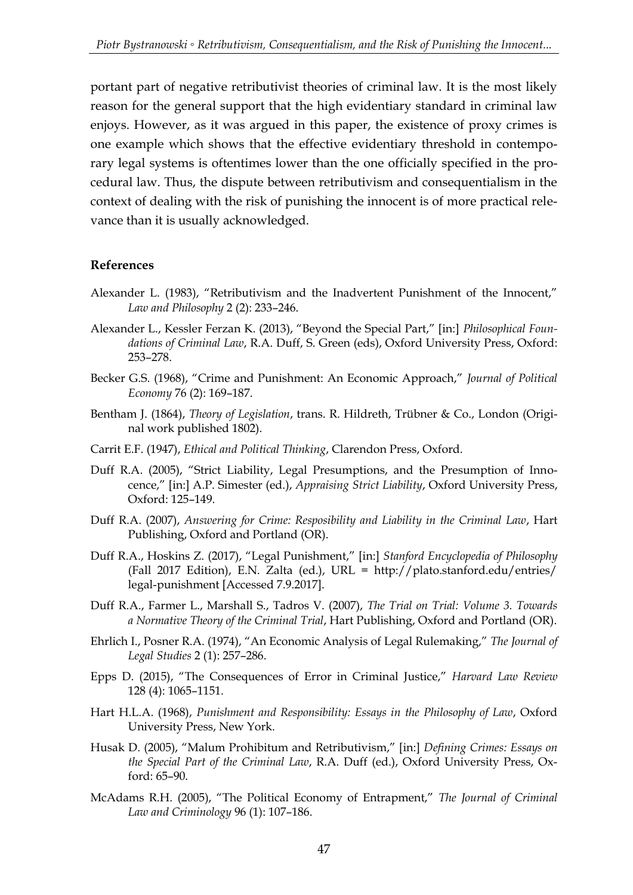portant part of negative retributivist theories of criminal law. It is the most likely reason for the general support that the high evidentiary standard in criminal law enjoys. However, as it was argued in this paper, the existence of proxy crimes is one example which shows that the effective evidentiary threshold in contemporary legal systems is oftentimes lower than the one officially specified in the procedural law. Thus, the dispute between retributivism and consequentialism in the context of dealing with the risk of punishing the innocent is of more practical relevance than it is usually acknowledged.

#### **References**

- Alexander L. (1983), "Retributivism and the Inadvertent Punishment of the Innocent," *Law and Philosophy* 2 (2): 233–246.
- Alexander L., Kessler Ferzan K. (2013), "Beyond the Special Part," [in:] *Philosophical Foundations of Criminal Law*, R.A. Duff, S. Green (eds), Oxford University Press, Oxford: 253–278.
- Becker G.S. (1968), "Crime and Punishment: An Economic Approach," *Journal of Political Economy* 76 (2): 169–187.
- Bentham J. (1864), *Theory of Legislation*, trans. R. Hildreth, Trübner & Co., London (Original work published 1802).
- Carrit E.F. (1947), *Ethical and Political Thinking*, Clarendon Press, Oxford.
- Duff R.A. (2005), "Strict Liability, Legal Presumptions, and the Presumption of Innocence," [in:] A.P. Simester (ed.), *Appraising Strict Liability*, Oxford University Press, Oxford: 125–149.
- Duff R.A. (2007), *Answering for Crime: Resposibility and Liability in the Criminal Law*, Hart Publishing, Oxford and Portland (OR).
- Duff R.A., Hoskins Z. (2017), "Legal Punishment," [in:] *Stanford Encyclopedia of Philosophy* (Fall 2017 Edition), E.N. Zalta (ed.), URL = http://plato.stanford.edu/entries/ legal-punishment [Accessed 7.9.2017].
- Duff R.A., Farmer L., Marshall S., Tadros V. (2007), *The Trial on Trial: Volume 3. Towards a Normative Theory of the Criminal Trial*, Hart Publishing, Oxford and Portland (OR).
- Ehrlich I., Posner R.A. (1974), "An Economic Analysis of Legal Rulemaking," *The Journal of Legal Studies* 2 (1): 257–286.
- Epps D. (2015), "The Consequences of Error in Criminal Justice," *Harvard Law Review* 128 (4): 1065–1151.
- Hart H.L.A. (1968), *Punishment and Responsibility: Essays in the Philosophy of Law*, Oxford University Press, New York.
- Husak D. (2005), "Malum Prohibitum and Retributivism," [in:] *Defining Crimes: Essays on the Special Part of the Criminal Law*, R.A. Duff (ed.), Oxford University Press, Oxford: 65–90.
- McAdams R.H. (2005), "The Political Economy of Entrapment," *The Journal of Criminal Law and Criminology* 96 (1): 107–186.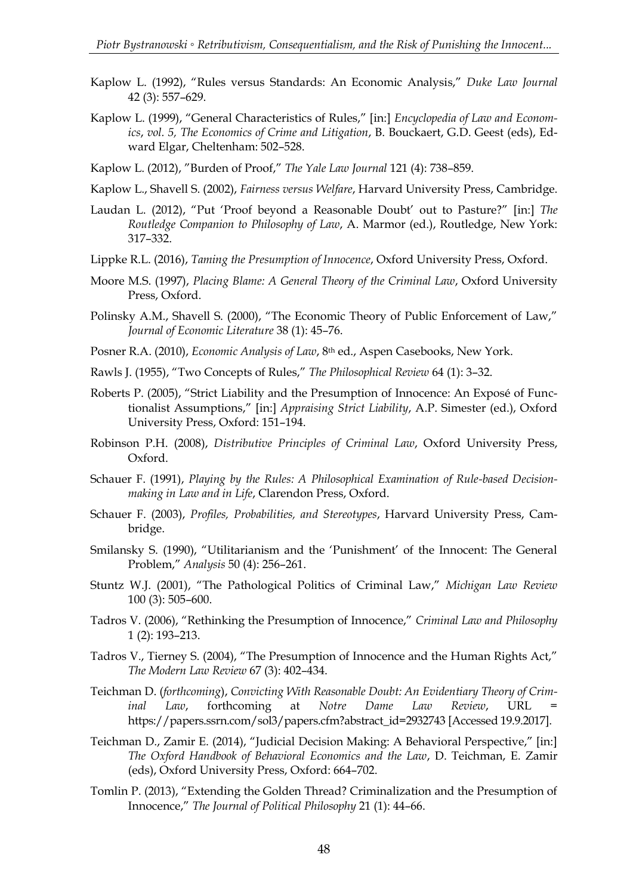- Kaplow L. (1992), "Rules versus Standards: An Economic Analysis," *Duke Law Journal* 42 (3): 557–629.
- Kaplow L. (1999), "General Characteristics of Rules," [in:] *Encyclopedia of Law and Economics*, *vol. 5, The Economics of Crime and Litigation*, B. Bouckaert, G.D. Geest (eds), Edward Elgar, Cheltenham: 502–528.
- Kaplow L. (2012), "Burden of Proof," *The Yale Law Journal* 121 (4): 738–859.
- Kaplow L., Shavell S. (2002), *Fairness versus Welfare*, Harvard University Press, Cambridge.
- Laudan L. (2012), "Put 'Proof beyond a Reasonable Doubt' out to Pasture?" [in:] *The Routledge Companion to Philosophy of Law*, A. Marmor (ed.), Routledge, New York: 317–332.
- Lippke R.L. (2016), *Taming the Presumption of Innocence*, Oxford University Press, Oxford.
- Moore M.S. (1997), *Placing Blame: A General Theory of the Criminal Law*, Oxford University Press, Oxford.
- Polinsky A.M., Shavell S. (2000), "The Economic Theory of Public Enforcement of Law," *Journal of Economic Literature* 38 (1): 45–76.
- Posner R.A. (2010), *Economic Analysis of Law*, 8th ed., Aspen Casebooks, New York.
- Rawls J. (1955), "Two Concepts of Rules," *The Philosophical Review* 64 (1): 3–32.
- Roberts P. (2005), "Strict Liability and the Presumption of Innocence: An Exposé of Functionalist Assumptions," [in:] *Appraising Strict Liability*, A.P. Simester (ed.), Oxford University Press, Oxford: 151–194.
- Robinson P.H. (2008), *Distributive Principles of Criminal Law*, Oxford University Press, Oxford.
- Schauer F. (1991), *Playing by the Rules: A Philosophical Examination of Rule-based Decisionmaking in Law and in Life*, Clarendon Press, Oxford.
- Schauer F. (2003), *Profiles, Probabilities, and Stereotypes*, Harvard University Press, Cambridge.
- Smilansky S. (1990), "Utilitarianism and the 'Punishment' of the Innocent: The General Problem," *Analysis* 50 (4): 256–261.
- Stuntz W.J. (2001), "The Pathological Politics of Criminal Law," *Michigan Law Review* 100 (3): 505–600.
- Tadros V. (2006), "Rethinking the Presumption of Innocence," *Criminal Law and Philosophy* 1 (2): 193–213.
- Tadros V., Tierney S. (2004), "The Presumption of Innocence and the Human Rights Act," *The Modern Law Review* 67 (3): 402–434.
- Teichman D. (*forthcoming*), *Convicting With Reasonable Doubt: An Evidentiary Theory of Criminal Law*, forthcoming at *Notre Dame Law Review*, URL https://papers.ssrn.com/sol3/papers.cfm?abstract\_id=2932743 [Accessed 19.9.2017].
- Teichman D., Zamir E. (2014), "Judicial Decision Making: A Behavioral Perspective," [in:] *The Oxford Handbook of Behavioral Economics and the Law*, D. Teichman, E. Zamir (eds), Oxford University Press, Oxford: 664–702.
- Tomlin P. (2013), "Extending the Golden Thread? Criminalization and the Presumption of Innocence," *The Journal of Political Philosophy* 21 (1): 44–66.